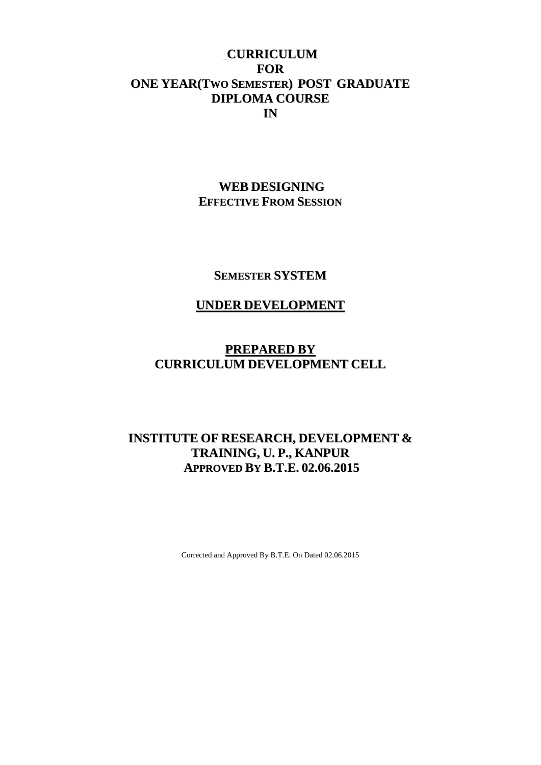## **CURRICULUM FOR ONE YEAR(TWO SEMESTER) POST GRADUATE DIPLOMA COURSE IN**

## **WEB DESIGNING EFFECTIVE FROM SESSION**

**SEMESTER SYSTEM**

## **UNDER DEVELOPMENT**

## **PREPARED BY CURRICULUM DEVELOPMENT CELL**

## **INSTITUTE OF RESEARCH, DEVELOPMENT & TRAINING, U. P., KANPUR APPROVED BY B.T.E. 02.06.2015**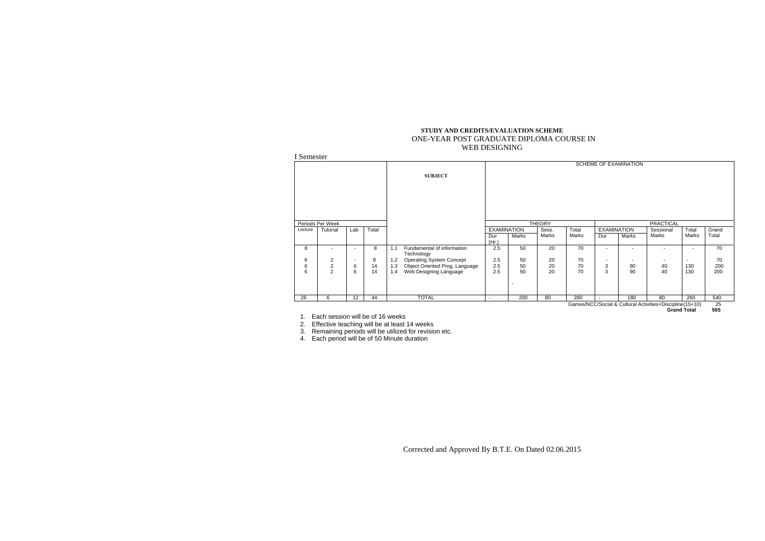Corrected and Approved By B.T.E. On Dated 02.06.2015

#### **STUDY AND CREDITS/EVALUATION SCHEME**  ONE-YEAR POST GRADUATE DIPLOMA COURSE IN WEB DESIGNING

|         |                  |                          |       |     |                                          |              |                                |                |                |                          | <b>SCHEME OF EXAMINATION</b> |                                                          |                          |                |
|---------|------------------|--------------------------|-------|-----|------------------------------------------|--------------|--------------------------------|----------------|----------------|--------------------------|------------------------------|----------------------------------------------------------|--------------------------|----------------|
|         |                  |                          |       |     | <b>SUBJECT</b>                           |              |                                |                |                |                          |                              |                                                          |                          |                |
|         | Periods Per Week |                          |       |     |                                          |              | <b>EXAMINATION</b>             | <b>THEORY</b>  |                |                          | <b>EXAMINATION</b>           | <b>PRACTICAL</b>                                         |                          |                |
| Lecture | Tutorial         | Lab                      | Total |     |                                          | Dur<br>(Hr.) | Marks                          | Sess.<br>Marks | Total<br>Marks | Dur                      | Marks                        | Sessional<br>Marks                                       | Total<br>Marks           | Grand<br>Total |
| 8       | $\blacksquare$   | $\blacksquare$           | 8     | 1.1 | Fundamental of information<br>Technology | 2.5          | 50                             | 20             | 70             | $\blacksquare$           |                              |                                                          | $\overline{\phantom{a}}$ |                |
| 6       | 2                | $\overline{\phantom{a}}$ | 8     | 1.2 | <b>Operating System Concept</b>          | 2.5          | 50                             | 20             | 70             | $\overline{\phantom{a}}$ |                              |                                                          | $\overline{\phantom{a}}$ |                |
| 6       | $\overline{c}$   | 6                        | 14    | 1.3 | Object Oriented Prog. Language           | 2.5          | 50                             | 20             | 70             | 3                        | 90                           | 40                                                       | 130                      |                |
| 6       | $\overline{2}$   | 6                        | 14    | 1.4 | Web Designing Language                   | 2.5          | 50<br>$\overline{\phantom{a}}$ | 20             | 70             | 3                        | 90                           | 40                                                       | 130                      |                |
| 26      | 6                | 12                       | 44    |     | <b>TOTAL</b>                             | $\sim$       | 200                            | 80             | 280            |                          | 180                          | 80                                                       | 260                      |                |
|         |                  |                          |       |     |                                          |              |                                |                |                |                          |                              | Games/NCC/Social & Cultural Activities+Discipline(15+10) |                          |                |

1. Each session will be of 16 weeks 2. Effective teaching will be at least 14 weeks

3. Remaining periods will be utilized for revision etc.

4. Each period will be of 50 Minute duration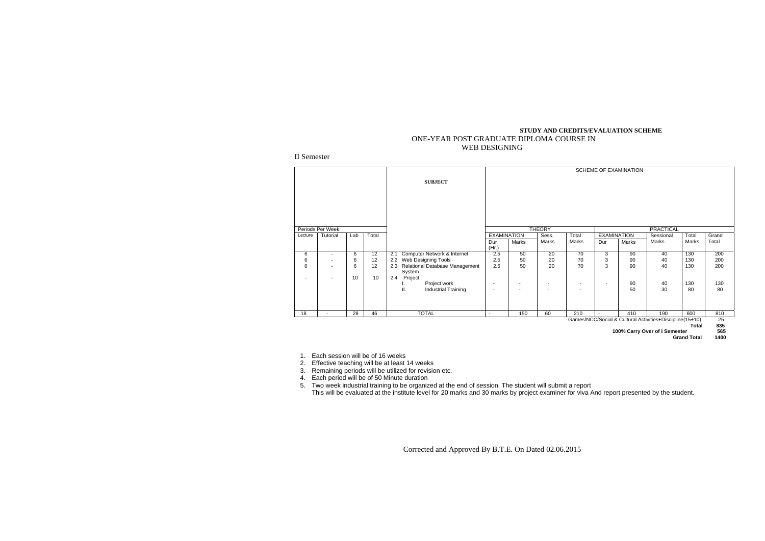Corrected and Approved By B.T.E. On Dated 02.06.2015

#### **STUDY AND CREDITS/EVALUATION SCHEME**  ONE-YEAR POST GRADUATE DIPLOMA COURSE IN WEB DESIGNING

II Semester

|         |                          |     |                 |                                                 |                          |                          |                          |                |                          | SCHEME OF EXAMINATION |                                                          |                    |             |
|---------|--------------------------|-----|-----------------|-------------------------------------------------|--------------------------|--------------------------|--------------------------|----------------|--------------------------|-----------------------|----------------------------------------------------------|--------------------|-------------|
|         |                          |     |                 | <b>SUBJECT</b>                                  |                          |                          |                          |                |                          |                       |                                                          |                    |             |
|         |                          |     |                 |                                                 |                          |                          |                          |                |                          |                       |                                                          |                    |             |
|         |                          |     |                 |                                                 |                          |                          |                          |                |                          |                       |                                                          |                    |             |
|         | Periods Per Week         |     |                 |                                                 |                          |                          | <b>THEORY</b>            |                |                          |                       | <b>PRACTICAL</b>                                         |                    |             |
| Lecture | Tutorial                 | Lab | Total           |                                                 | <b>EXAMINATION</b>       |                          | Sess.                    | Total          |                          | <b>EXAMINATION</b>    | Sessional                                                | Total              | Grand       |
|         |                          |     |                 |                                                 | Dur<br>(Hr.)             | Marks                    | Marks                    | Marks          | Dur                      | Marks                 | Marks                                                    | Marks              | Total       |
| 6       | $\blacksquare$           | 6   | $\overline{12}$ | Computer Network & Internet<br>2.1              | 2.5                      | 50                       | 20                       | 70             | 3                        | 90                    | 40                                                       | 130                | 200         |
| 6       | $\overline{\phantom{a}}$ | 6   | 12              | 2.2<br>Web Designing Tools                      | 2.5                      | 50                       | 20                       | 70             | 3                        | 90                    | 40                                                       | 130                | 200         |
| 6       | $\overline{\phantom{a}}$ | 6   | 12              | Relational Database Management<br>2.3<br>System | 2.5                      | 50                       | 20                       | 70             | 3                        | 90                    | 40                                                       | 130                | 200         |
| $\sim$  | $\overline{\phantom{a}}$ | 10  | 10              | 2.4<br>Project                                  |                          |                          |                          |                |                          |                       |                                                          |                    |             |
|         |                          |     |                 | Project work<br>ι.                              |                          | $\overline{\phantom{a}}$ |                          |                | $\overline{\phantom{a}}$ | 90                    | 40                                                       | 130                | 130         |
|         |                          |     |                 | ΙΙ.<br><b>Industrial Training</b>               | $\overline{\phantom{a}}$ | $\overline{\phantom{a}}$ | $\overline{\phantom{a}}$ | $\blacksquare$ |                          | 50                    | 30                                                       | 80                 | 80          |
| 18      | $\sim$                   | 28  | 46              | <b>TOTAL</b>                                    | $\sim$                   | 150                      | 60                       | 210            | $\blacksquare$           | 410                   | 190                                                      | 600                | 810         |
|         |                          |     |                 |                                                 |                          |                          |                          |                |                          |                       | Games/NCC/Social & Cultural Activities+Discipline(15+10) | Total              | 25<br>835   |
|         |                          |     |                 |                                                 |                          |                          |                          |                |                          |                       | 100% Carry Over of I Semester                            | <b>Grand Total</b> | 565<br>1400 |

1. Each session will be of 16 weeks 2. Effective teaching will be at least 14 weeks

3. Remaining periods will be utilized for revision etc.

4. Each period will be of 50 Minute duration

5. Two week industrial training to be organized at the end of session. The student will submit a report This will be evaluated at the institute level for 20 marks and 30 marks by project examiner for viva And report presented by the student.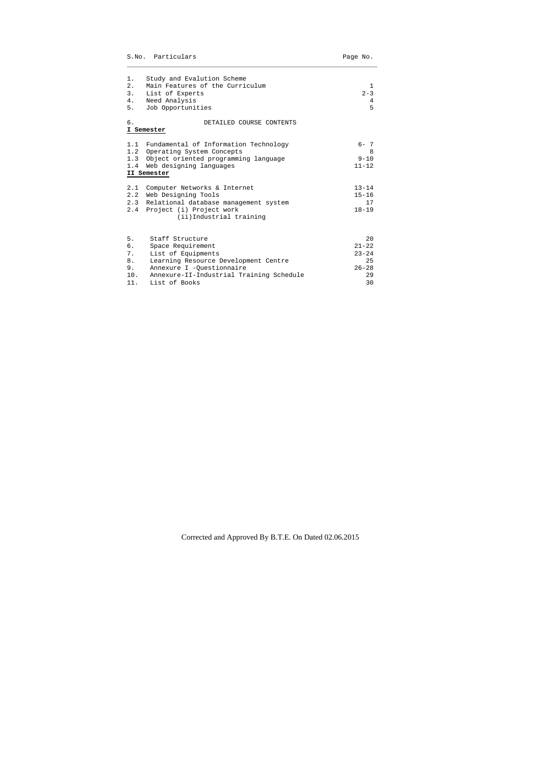|                                          | S.No. Particulars                                                                                                                                                                            | Page No.                                                    |
|------------------------------------------|----------------------------------------------------------------------------------------------------------------------------------------------------------------------------------------------|-------------------------------------------------------------|
| $1$ .<br>2.<br>3.<br>4.<br>5.            | Study and Evalution Scheme<br>Main Features of the Curriculum<br>List of Experts<br>Need Analysis<br>Job Opportunities                                                                       | 1<br>$2 - 3$<br>4<br>5                                      |
| б.                                       | DETAILED COURSE CONTENTS<br>I Semester                                                                                                                                                       |                                                             |
|                                          | 1.1 Fundamental of Information Technology<br>1.2 Operating System Concepts<br>1.3 Object oriented programming language<br>1.4 Web designing languages<br>II Semester                         | $6 - 7$<br>8<br>$9 - 10$<br>$11 - 12$                       |
|                                          | 2.1 Computer Networks & Internet<br>2.2 Web Designing Tools<br>2.3 Relational database management system<br>2.4 Project (i) Project work<br>(ii) Industrial training                         | $13 - 14$<br>$15 - 16$<br>17<br>$18 - 19$                   |
| 5.<br>б.<br>7.<br>8.<br>9.<br>10.<br>11. | Staff Structure<br>Space Requirement<br>List of Equipments<br>Learning Resource Development Centre<br>Annexure I -Questionnaire<br>Annexure-II-Industrial Training Schedule<br>List of Books | 20<br>$21 - 22$<br>$23 - 24$<br>25<br>$26 - 28$<br>29<br>30 |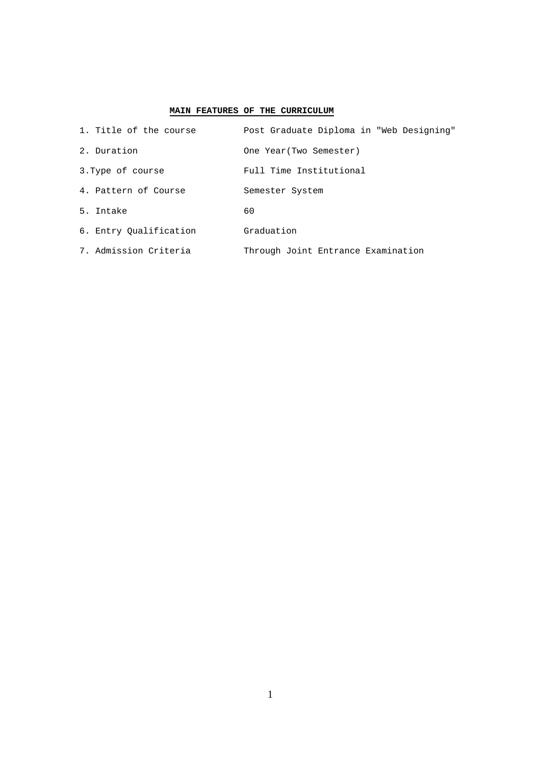#### **MAIN FEATURES OF THE CURRICULUM**

| 1. Title of the course | Post Graduate Diploma in "Web Designing" |
|------------------------|------------------------------------------|
| 2. Duration            | One Year (Two Semester)                  |
| 3. Type of course      | Full Time Institutional                  |
| 4. Pattern of Course   | Semester System                          |
| 5. Intake              | 60                                       |
| 6. Entry Oualification | Graduation                               |
| 7. Admission Criteria  | Through Joint Entrance Examination       |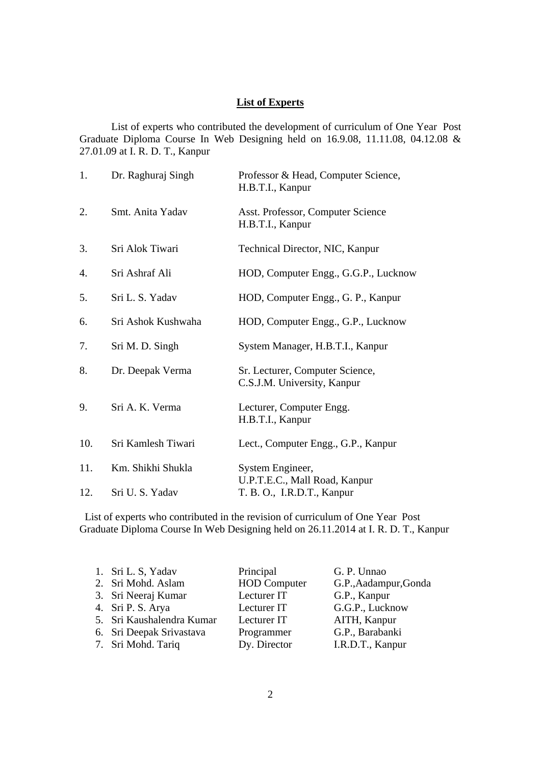#### **List of Experts**

 List of experts who contributed the development of curriculum of One Year Post Graduate Diploma Course In Web Designing held on 16.9.08, 11.11.08, 04.12.08 & 27.01.09 at I. R. D. T., Kanpur

| 1.  | Dr. Raghuraj Singh | Professor & Head, Computer Science,<br>H.B.T.I., Kanpur        |
|-----|--------------------|----------------------------------------------------------------|
| 2.  | Smt. Anita Yadav   | Asst. Professor, Computer Science<br>H.B.T.I., Kanpur          |
| 3.  | Sri Alok Tiwari    | Technical Director, NIC, Kanpur                                |
| 4.  | Sri Ashraf Ali     | HOD, Computer Engg., G.G.P., Lucknow                           |
| 5.  | Sri L. S. Yadav    | HOD, Computer Engg., G. P., Kanpur                             |
| 6.  | Sri Ashok Kushwaha | HOD, Computer Engg., G.P., Lucknow                             |
| 7.  | Sri M. D. Singh    | System Manager, H.B.T.I., Kanpur                               |
| 8.  | Dr. Deepak Verma   | Sr. Lecturer, Computer Science,<br>C.S.J.M. University, Kanpur |
| 9.  | Sri A. K. Verma    | Lecturer, Computer Engg.<br>H.B.T.I., Kanpur                   |
| 10. | Sri Kamlesh Tiwari | Lect., Computer Engg., G.P., Kanpur                            |
| 11. | Km. Shikhi Shukla  | System Engineer,                                               |
| 12. | Sri U. S. Yadav    | U.P.T.E.C., Mall Road, Kanpur<br>T. B. O., I.R.D.T., Kanpur    |

List of experts who contributed in the revision of curriculum of One Year Post Graduate Diploma Course In Web Designing held on 26.11.2014 at I. R. D. T., Kanpur

| 1. Sri L. S, Yadav        | Principal           | G. P. Unnao           |
|---------------------------|---------------------|-----------------------|
| 2. Sri Mohd. Aslam        | <b>HOD</b> Computer | G.P., Aadampur, Gonda |
| 3. Sri Neeraj Kumar       | Lecturer IT         | G.P., Kanpur          |
| 4. Sri P. S. Arya         | Lecturer IT         | G.G.P., Lucknow       |
| 5. Sri Kaushalendra Kumar | Lecturer IT         | AITH, Kanpur          |
| 6. Sri Deepak Srivastava  | Programmer          | G.P., Barabanki       |
| 7. Sri Mohd. Tariq        | Dy. Director        | I.R.D.T., Kanpur      |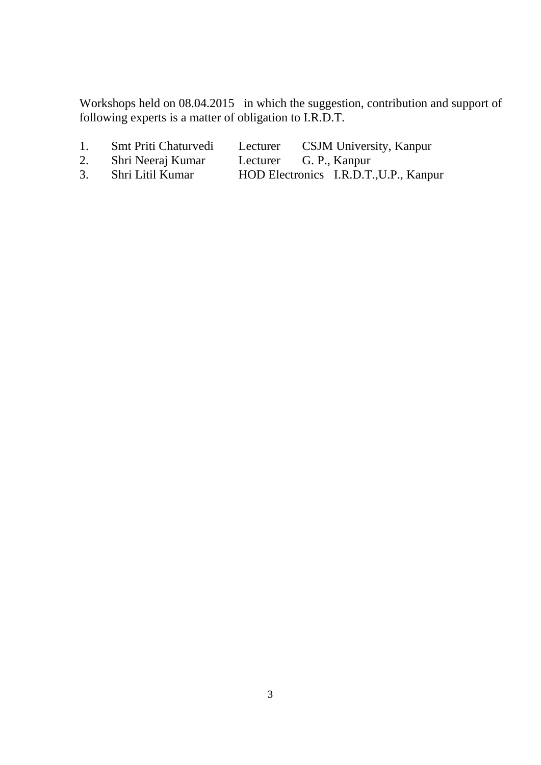Workshops held on 08.04.2015 in which the suggestion, contribution and support of following experts is a matter of obligation to I.R.D.T.

- 1. Smt Priti Chaturvedi Lecturer CSJM University, Kanpur
- 2. Shri Neeraj Kumar Lecturer G. P., Kanpur<br>3. Shri Litil Kumar HOD Electronics I.R.D.T.
- 3. Shri Litil Kumar HOD Electronics I.R.D.T.,U.P., Kanpur
-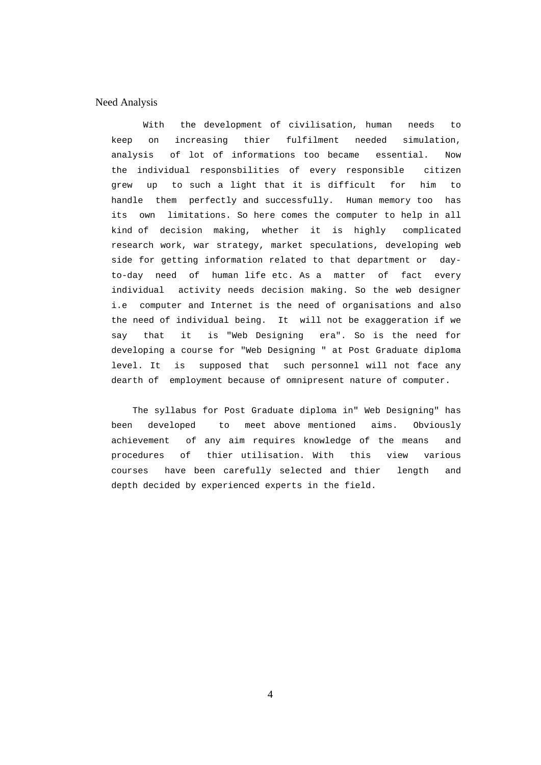#### Need Analysis

With the development of civilisation, human needs to keep on increasing thier fulfilment needed simulation, analysis of lot of informations too became essential. Now the individual responsbilities of every responsible citizen grew up to such a light that it is difficult for him to handle them perfectly and successfully. Human memory too has its own limitations. So here comes the computer to help in all kind of decision making, whether it is highly complicated research work, war strategy, market speculations, developing web side for getting information related to that department or dayto-day need of human life etc. As a matter of fact every individual activity needs decision making. So the web designer i.e computer and Internet is the need of organisations and also the need of individual being. It will not be exaggeration if we say that it is "Web Designing era". So is the need for developing a course for "Web Designing " at Post Graduate diploma level. It is supposed that such personnel will not face any dearth of employment because of omnipresent nature of computer.

The syllabus for Post Graduate diploma in" Web Designing" has been developed to meet above mentioned aims. Obviously achievement of any aim requires knowledge of the means and procedures of thier utilisation. With this view various courses have been carefully selected and thier length and depth decided by experienced experts in the field.

4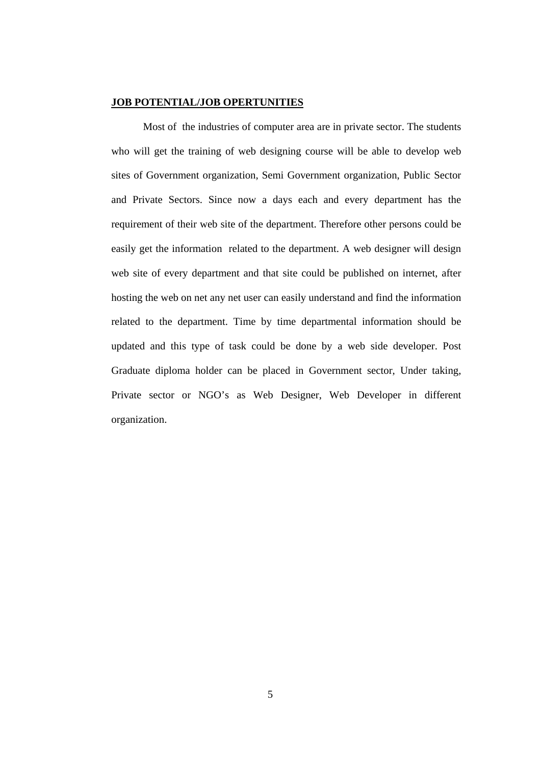#### **JOB POTENTIAL/JOB OPERTUNITIES**

Most of the industries of computer area are in private sector. The students who will get the training of web designing course will be able to develop web sites of Government organization, Semi Government organization, Public Sector and Private Sectors. Since now a days each and every department has the requirement of their web site of the department. Therefore other persons could be easily get the information related to the department. A web designer will design web site of every department and that site could be published on internet, after hosting the web on net any net user can easily understand and find the information related to the department. Time by time departmental information should be updated and this type of task could be done by a web side developer. Post Graduate diploma holder can be placed in Government sector, Under taking, Private sector or NGO's as Web Designer, Web Developer in different organization.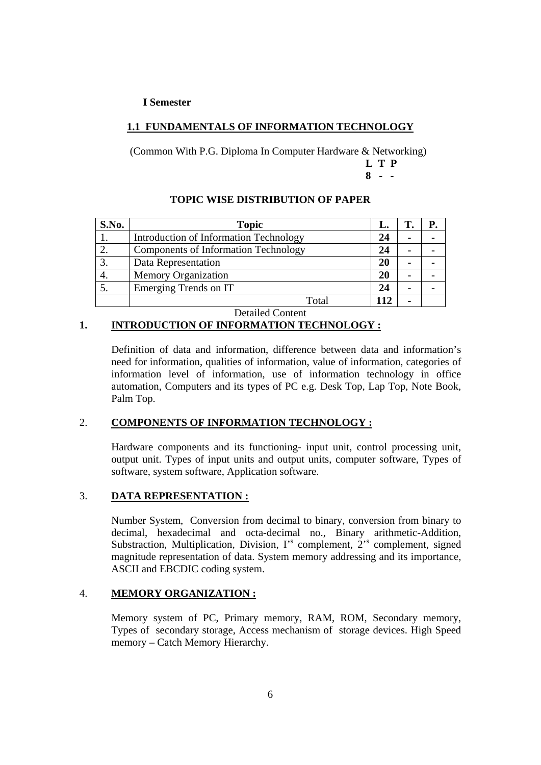#### **I Semester**

#### **1.1 FUNDAMENTALS OF INFORMATION TECHNOLOGY**

(Common With P.G. Diploma In Computer Hardware & Networking) **L T P 8 - -** 

#### **TOPIC WISE DISTRIBUTION OF PAPER**

| <b>S.No.</b> | <b>Topic</b>                                | L. |  |
|--------------|---------------------------------------------|----|--|
|              | Introduction of Information Technology      | 24 |  |
|              | <b>Components of Information Technology</b> | 24 |  |
| 3.           | Data Representation                         | 20 |  |
|              | <b>Memory Organization</b>                  | 20 |  |
|              | Emerging Trends on IT                       | 24 |  |
|              | $\rm Total$                                 |    |  |

Detailed Content

#### **1. INTRODUCTION OF INFORMATION TECHNOLOGY :**

 Definition of data and information, difference between data and information's need for information, qualities of information, value of information, categories of information level of information, use of information technology in office automation, Computers and its types of PC e.g. Desk Top, Lap Top, Note Book, Palm Top.

#### 2. **COMPONENTS OF INFORMATION TECHNOLOGY :**

 Hardware components and its functioning- input unit, control processing unit, output unit. Types of input units and output units, computer software, Types of software, system software, Application software.

#### 3. **DATA REPRESENTATION :**

Number System, Conversion from decimal to binary, conversion from binary to decimal, hexadecimal and octa-decimal no., Binary arithmetic-Addition, Substraction, Multiplication, Division,  $\Gamma$ <sup>s</sup> complement,  $2$ <sup>s</sup> complement, signed magnitude representation of data. System memory addressing and its importance, ASCII and EBCDIC coding system.

#### 4. **MEMORY ORGANIZATION :**

Memory system of PC, Primary memory, RAM, ROM, Secondary memory, Types of secondary storage, Access mechanism of storage devices. High Speed memory – Catch Memory Hierarchy.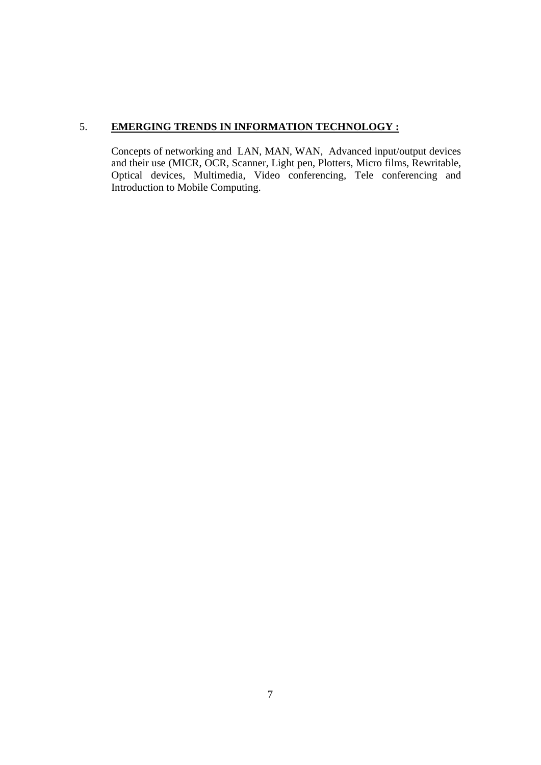### 5. **EMERGING TRENDS IN INFORMATION TECHNOLOGY :**

Concepts of networking and LAN, MAN, WAN, Advanced input/output devices and their use (MICR, OCR, Scanner, Light pen, Plotters, Micro films, Rewritable, Optical devices, Multimedia, Video conferencing, Tele conferencing and Introduction to Mobile Computing.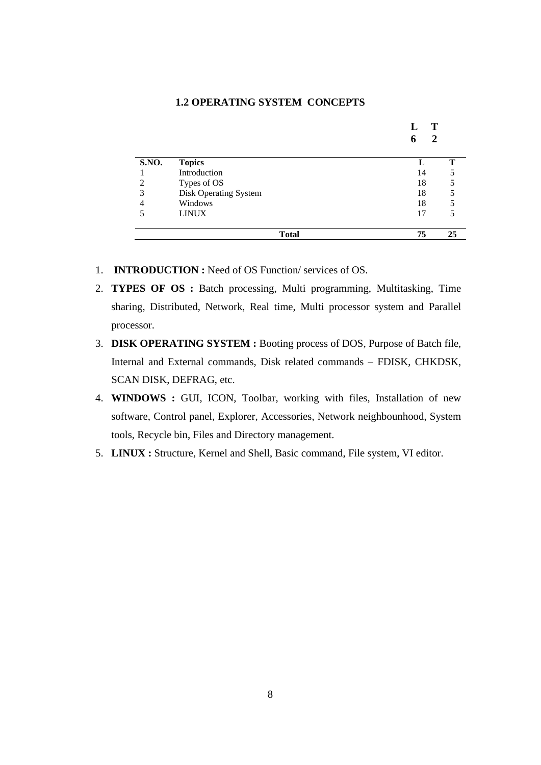#### **1.2 OPERATING SYSTEM CONCEPTS**

|                |                       | т<br>2 |
|----------------|-----------------------|--------|
| S.NO.          | <b>Topics</b>         |        |
|                | Introduction          | 14     |
| 2              | Types of OS           | 18     |
| 3              | Disk Operating System | 18     |
| $\overline{4}$ | Windows               | 18     |
| 5              | <b>LINUX</b>          | 17     |
|                | <b>Total</b>          | 75     |

- 1. **INTRODUCTION :** Need of OS Function/ services of OS.
- 2. **TYPES OF OS :** Batch processing, Multi programming, Multitasking, Time sharing, Distributed, Network, Real time, Multi processor system and Parallel processor.
- 3. **DISK OPERATING SYSTEM :** Booting process of DOS, Purpose of Batch file, Internal and External commands, Disk related commands – FDISK, CHKDSK, SCAN DISK, DEFRAG, etc.
- 4. **WINDOWS :** GUI, ICON, Toolbar, working with files, Installation of new software, Control panel, Explorer, Accessories, Network neighbounhood, System tools, Recycle bin, Files and Directory management.
- 5. **LINUX :** Structure, Kernel and Shell, Basic command, File system, VI editor.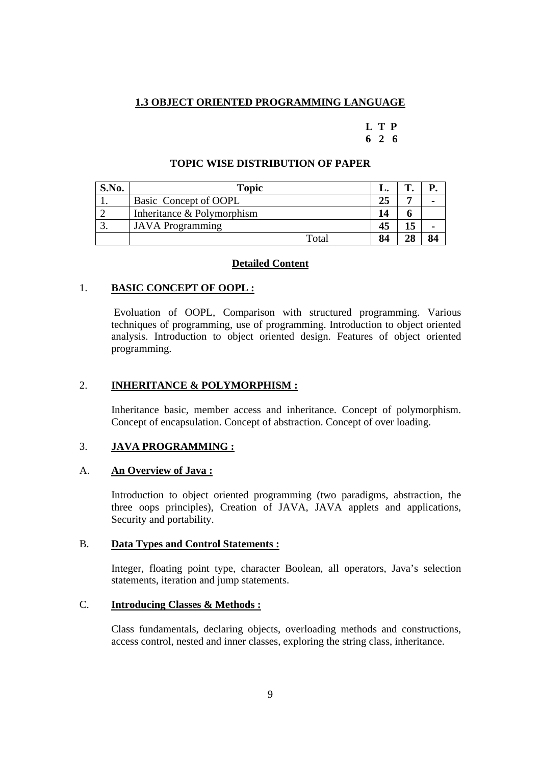#### **1.3 OBJECT ORIENTED PROGRAMMING LANGUAGE**

#### **L T P 6 2 6**

# S.No. | **Topic Topic | L. | T. | P.**

**TOPIC WISE DISTRIBUTION OF PAPER** 

| <b>S.NO.</b> | Topic                      | L. |    |  |
|--------------|----------------------------|----|----|--|
|              | Basic Concept of OOPL      | 25 |    |  |
|              | Inheritance & Polymorphism | 14 |    |  |
| ິ.           | <b>JAVA</b> Programming    | 45 | 15 |  |
|              | Total                      | 84 | 28 |  |

#### **Detailed Content**

#### 1. **BASIC CONCEPT OF OOPL :**

 Evoluation of OOPL, Comparison with structured programming. Various techniques of programming, use of programming. Introduction to object oriented analysis. Introduction to object oriented design. Features of object oriented programming.

#### 2. **INHERITANCE & POLYMORPHISM :**

Inheritance basic, member access and inheritance. Concept of polymorphism. Concept of encapsulation. Concept of abstraction. Concept of over loading.

#### 3. **JAVA PROGRAMMING :**

#### A. **An Overview of Java :**

Introduction to object oriented programming (two paradigms, abstraction, the three oops principles), Creation of JAVA, JAVA applets and applications, Security and portability.

#### B. **Data Types and Control Statements :**

Integer, floating point type, character Boolean, all operators, Java's selection statements, iteration and jump statements.

#### C. **Introducing Classes & Methods :**

Class fundamentals, declaring objects, overloading methods and constructions, access control, nested and inner classes, exploring the string class, inheritance.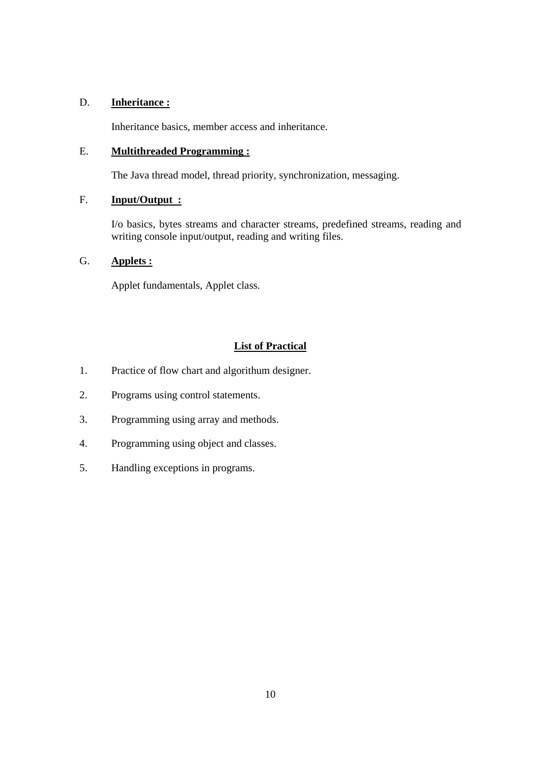#### D. **Inheritance :**

Inheritance basics, member access and inheritance.

#### E. **Multithreaded Programming :**

The Java thread model, thread priority, synchronization, messaging.

### F. **Input/Output :**

I/o basics, bytes streams and character streams, predefined streams, reading and writing console input/output, reading and writing files.

#### G. **Applets :**

Applet fundamentals, Applet class.

#### **List of Practical**

- 1. Practice of flow chart and algorithum designer.
- 2. Programs using control statements.
- 3. Programming using array and methods.
- 4. Programming using object and classes.
- 5. Handling exceptions in programs.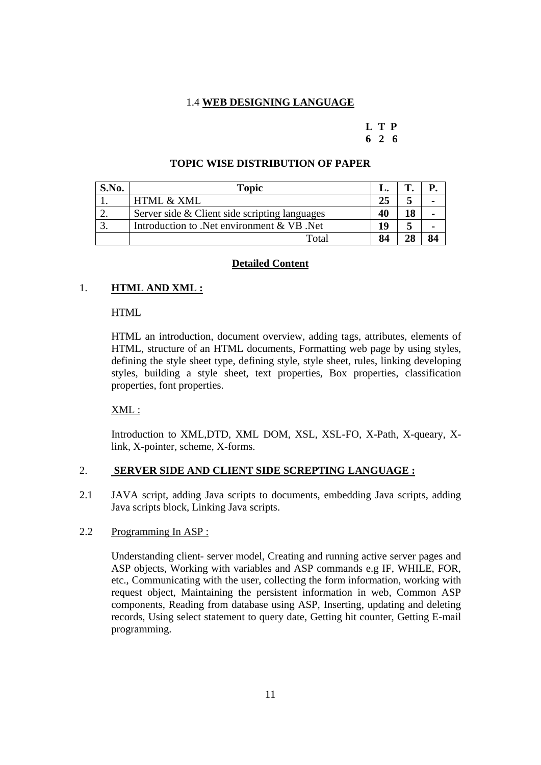#### 1.4 **WEB DESIGNING LANGUAGE**

## **L T P**

#### **6 2 6**

#### **TOPIC WISE DISTRIBUTION OF PAPER**

| S.No. | Topic                                         |    |    |  |
|-------|-----------------------------------------------|----|----|--|
|       | <b>HTML &amp; XML</b>                         | 25 |    |  |
|       | Server side & Client side scripting languages | 40 |    |  |
|       | Introduction to .Net environment & VB .Net    | 19 |    |  |
|       | Total                                         | 84 | 90 |  |

#### **Detailed Content**

#### 1. **HTML AND XML :**

#### HTML

HTML an introduction, document overview, adding tags, attributes, elements of HTML, structure of an HTML documents, Formatting web page by using styles, defining the style sheet type, defining style, style sheet, rules, linking developing styles, building a style sheet, text properties, Box properties, classification properties, font properties.

#### XML :

Introduction to XML,DTD, XML DOM, XSL, XSL-FO, X-Path, X-queary, Xlink, X-pointer, scheme, X-forms.

#### 2. **SERVER SIDE AND CLIENT SIDE SCREPTING LANGUAGE :**

2.1 JAVA script, adding Java scripts to documents, embedding Java scripts, adding Java scripts block, Linking Java scripts.

#### 2.2 Programming In ASP :

Understanding client- server model, Creating and running active server pages and ASP objects, Working with variables and ASP commands e.g IF, WHILE, FOR, etc., Communicating with the user, collecting the form information, working with request object, Maintaining the persistent information in web, Common ASP components, Reading from database using ASP, Inserting, updating and deleting records, Using select statement to query date, Getting hit counter, Getting E-mail programming.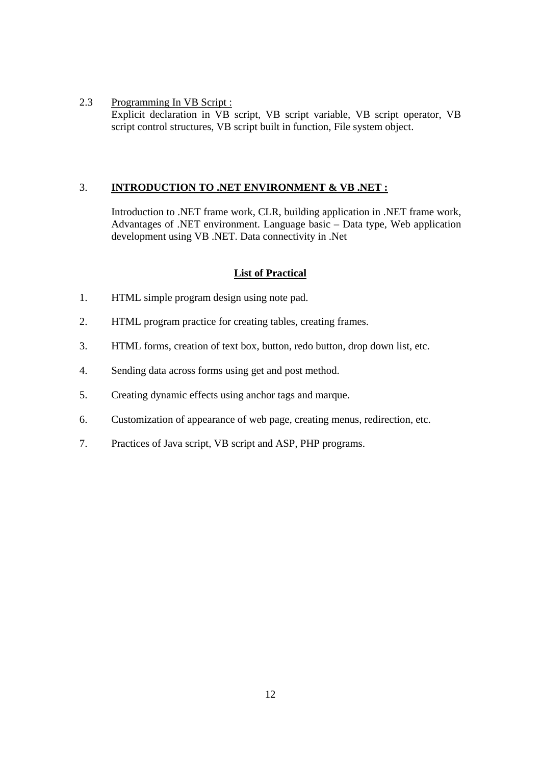2.3 Programming In VB Script : Explicit declaration in VB script, VB script variable, VB script operator, VB script control structures, VB script built in function, File system object.

#### 3. **INTRODUCTION TO .NET ENVIRONMENT & VB .NET :**

Introduction to .NET frame work, CLR, building application in .NET frame work, Advantages of .NET environment. Language basic – Data type, Web application development using VB .NET. Data connectivity in .Net

#### **List of Practical**

- 1. HTML simple program design using note pad.
- 2. HTML program practice for creating tables, creating frames.
- 3. HTML forms, creation of text box, button, redo button, drop down list, etc.
- 4. Sending data across forms using get and post method.
- 5. Creating dynamic effects using anchor tags and marque.
- 6. Customization of appearance of web page, creating menus, redirection, etc.
- 7. Practices of Java script, VB script and ASP, PHP programs.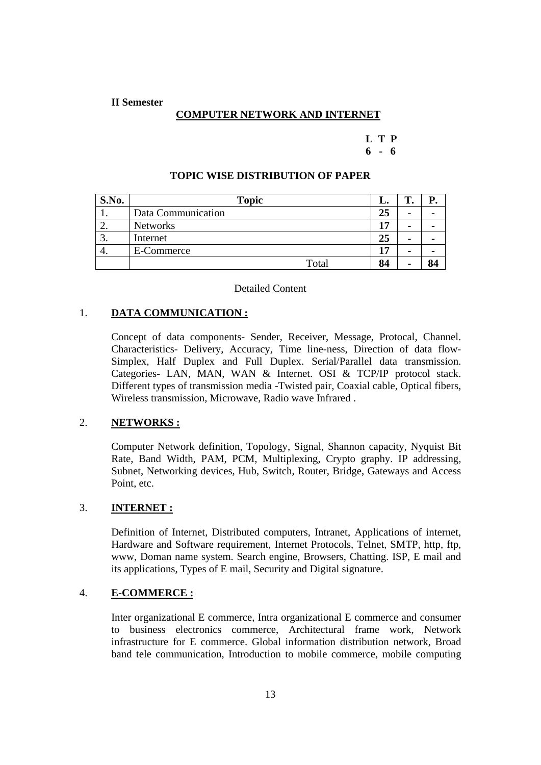#### **II Semester**

#### **COMPUTER NETWORK AND INTERNET**

#### **L T P 6 - 6**

#### **TOPIC WISE DISTRIBUTION OF PAPER**

| S.No. | <b>Topic</b>       | L. | m<br>. . |  |
|-------|--------------------|----|----------|--|
|       | Data Communication | 25 | ٠        |  |
| ۷.    | <b>Networks</b>    | 17 | ٠        |  |
| J.    | Internet           | 25 | ٠        |  |
| ъ.    | E-Commerce         | 17 |          |  |
|       | Total              | 84 |          |  |

#### Detailed Content

#### 1. **DATA COMMUNICATION :**

Concept of data components- Sender, Receiver, Message, Protocal, Channel. Characteristics- Delivery, Accuracy, Time line-ness, Direction of data flow-Simplex, Half Duplex and Full Duplex. Serial/Parallel data transmission. Categories- LAN, MAN, WAN & Internet. OSI & TCP/IP protocol stack. Different types of transmission media -Twisted pair, Coaxial cable, Optical fibers, Wireless transmission, Microwave, Radio wave Infrared .

#### 2. **NETWORKS :**

Computer Network definition, Topology, Signal, Shannon capacity, Nyquist Bit Rate, Band Width, PAM, PCM, Multiplexing, Crypto graphy. IP addressing, Subnet, Networking devices, Hub, Switch, Router, Bridge, Gateways and Access Point, etc.

#### 3. **INTERNET :**

Definition of Internet, Distributed computers, Intranet, Applications of internet, Hardware and Software requirement, Internet Protocols, Telnet, SMTP, http, ftp, www, Doman name system. Search engine, Browsers, Chatting. ISP, E mail and its applications, Types of E mail, Security and Digital signature.

#### 4. **E-COMMERCE :**

Inter organizational E commerce, Intra organizational E commerce and consumer to business electronics commerce, Architectural frame work, Network infrastructure for E commerce. Global information distribution network, Broad band tele communication, Introduction to mobile commerce, mobile computing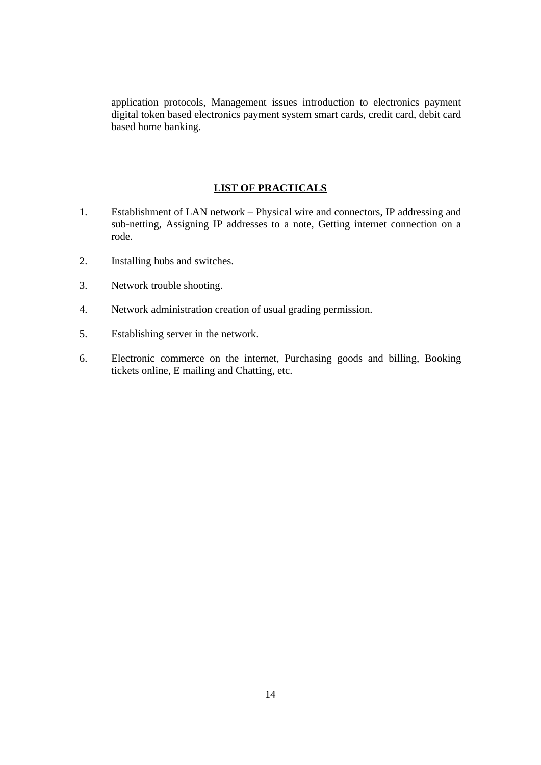application protocols, Management issues introduction to electronics payment digital token based electronics payment system smart cards, credit card, debit card based home banking.

#### **LIST OF PRACTICALS**

- 1. Establishment of LAN network Physical wire and connectors, IP addressing and sub-netting, Assigning IP addresses to a note, Getting internet connection on a rode.
- 2. Installing hubs and switches.
- 3. Network trouble shooting.
- 4. Network administration creation of usual grading permission.
- 5. Establishing server in the network.
- 6. Electronic commerce on the internet, Purchasing goods and billing, Booking tickets online, E mailing and Chatting, etc.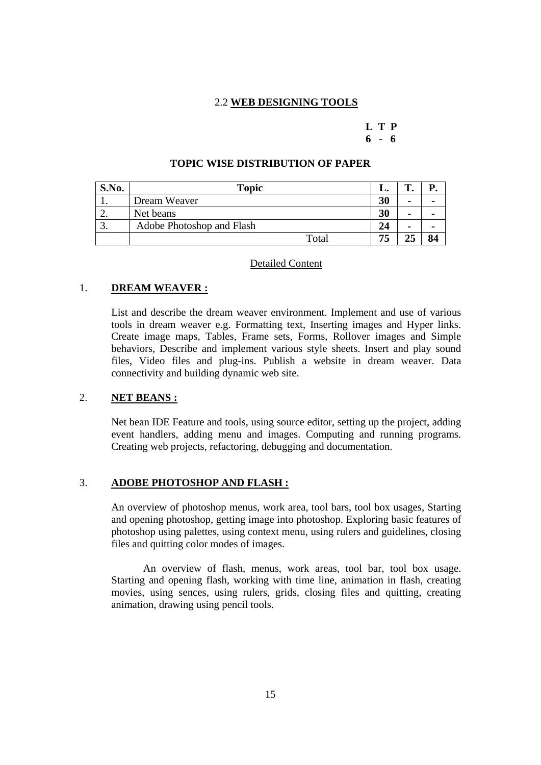#### 2.2 **WEB DESIGNING TOOLS**

## **L T P**

#### **6 - 6**

| S.No. | <b>Topic</b>              | L. | m |    |
|-------|---------------------------|----|---|----|
|       | Dream Weaver              | 30 |   |    |
| ـ.    | Net beans                 | 30 |   |    |
| ິ.    | Adobe Photoshop and Flash | 24 |   |    |
|       | Total                     | 75 |   | 84 |

#### **TOPIC WISE DISTRIBUTION OF PAPER**

#### Detailed Content

#### 1. **DREAM WEAVER :**

List and describe the dream weaver environment. Implement and use of various tools in dream weaver e.g. Formatting text, Inserting images and Hyper links. Create image maps, Tables, Frame sets, Forms, Rollover images and Simple behaviors, Describe and implement various style sheets. Insert and play sound files, Video files and plug-ins. Publish a website in dream weaver. Data connectivity and building dynamic web site.

#### 2. **NET BEANS :**

Net bean IDE Feature and tools, using source editor, setting up the project, adding event handlers, adding menu and images. Computing and running programs. Creating web projects, refactoring, debugging and documentation.

#### 3. **ADOBE PHOTOSHOP AND FLASH :**

An overview of photoshop menus, work area, tool bars, tool box usages, Starting and opening photoshop, getting image into photoshop. Exploring basic features of photoshop using palettes, using context menu, using rulers and guidelines, closing files and quitting color modes of images.

 An overview of flash, menus, work areas, tool bar, tool box usage. Starting and opening flash, working with time line, animation in flash, creating movies, using sences, using rulers, grids, closing files and quitting, creating animation, drawing using pencil tools.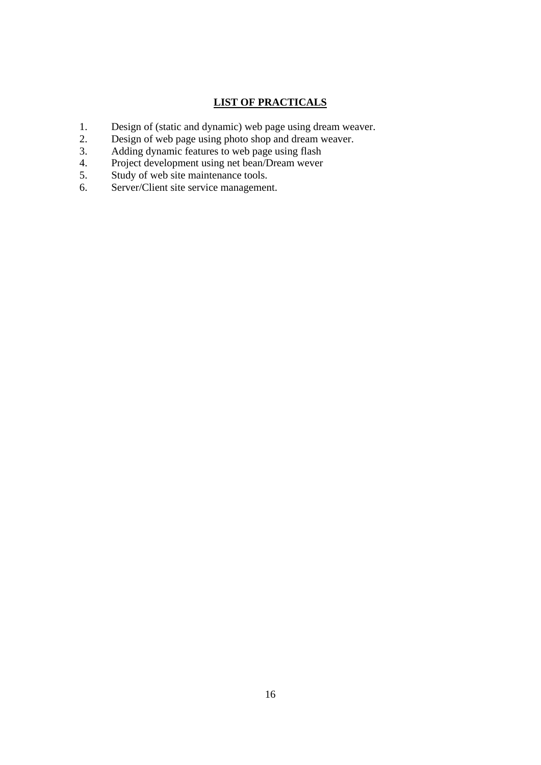#### **LIST OF PRACTICALS**

- 1. Design of (static and dynamic) web page using dream weaver.
- 2. Design of web page using photo shop and dream weaver.
- 3. Adding dynamic features to web page using flash
- 4. Project development using net bean/Dream wever
- 5. Study of web site maintenance tools.
- 6. Server/Client site service management.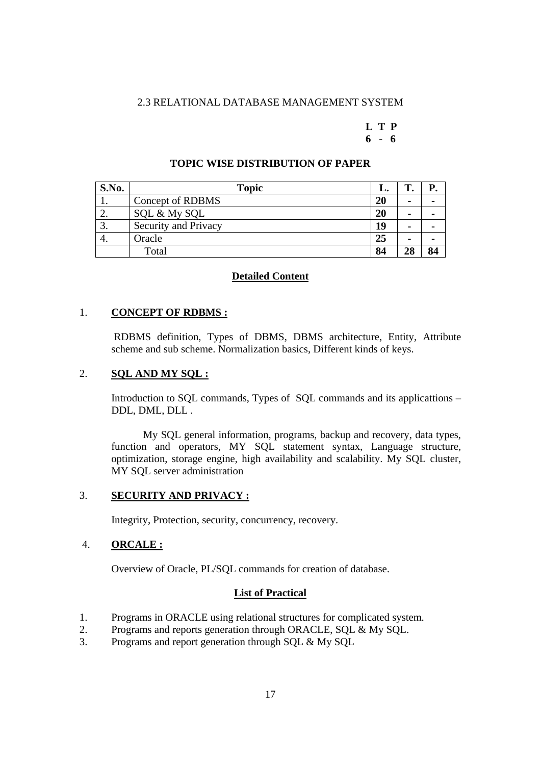#### 2.3 RELATIONAL DATABASE MANAGEMENT SYSTEM

#### **L T P 6 - 6**

| S.No.                    | <b>Topic</b>         | L. | m  |    |
|--------------------------|----------------------|----|----|----|
|                          | Concept of RDBMS     | 20 |    |    |
| $\overline{\phantom{a}}$ | SQL & My SQL         | 20 |    |    |
| J.                       | Security and Privacy | 19 | ٠  | -  |
| 4.                       | Oracle               | 25 | ٠  |    |
|                          | Total                | 84 | 28 | 84 |

#### **TOPIC WISE DISTRIBUTION OF PAPER**

#### **Detailed Content**

#### 1. **CONCEPT OF RDBMS :**

 RDBMS definition, Types of DBMS, DBMS architecture, Entity, Attribute scheme and sub scheme. Normalization basics, Different kinds of keys.

#### 2. **SQL AND MY SQL :**

Introduction to SQL commands, Types of SQL commands and its applicattions – DDL, DML, DLL .

My SQL general information, programs, backup and recovery, data types, function and operators, MY SQL statement syntax, Language structure, optimization, storage engine, high availability and scalability. My SQL cluster, MY SQL server administration

#### 3. **SECURITY AND PRIVACY :**

Integrity, Protection, security, concurrency, recovery.

#### 4. **ORCALE :**

Overview of Oracle, PL/SQL commands for creation of database.

#### **List of Practical**

- 1. Programs in ORACLE using relational structures for complicated system.
- 2. Programs and reports generation through ORACLE, SQL & My SQL.
- 3. Programs and report generation through SQL & My SQL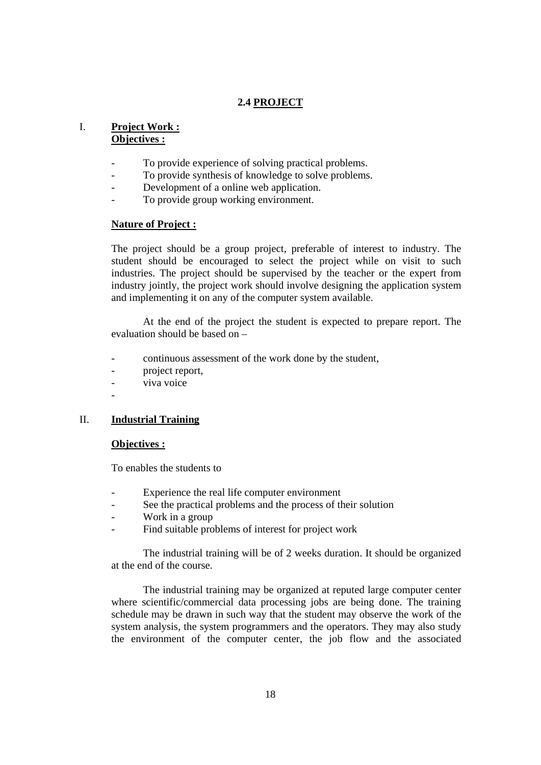#### **2.4 PROJECT**

#### I. **Project Work : Objectives :**

- To provide experience of solving practical problems.
- To provide synthesis of knowledge to solve problems.
- Development of a online web application.
- To provide group working environment.

#### **Nature of Project :**

The project should be a group project, preferable of interest to industry. The student should be encouraged to select the project while on visit to such industries. The project should be supervised by the teacher or the expert from industry jointly, the project work should involve designing the application system and implementing it on any of the computer system available.

 At the end of the project the student is expected to prepare report. The evaluation should be based on –

- continuous assessment of the work done by the student,
- project report,
- viva voice
- -

#### II. **Industrial Training**

#### **Objectives :**

To enables the students to

- Experience the real life computer environment
- See the practical problems and the process of their solution
- Work in a group
- Find suitable problems of interest for project work

The industrial training will be of 2 weeks duration. It should be organized at the end of the course.

The industrial training may be organized at reputed large computer center where scientific/commercial data processing jobs are being done. The training schedule may be drawn in such way that the student may observe the work of the system analysis, the system programmers and the operators. They may also study the environment of the computer center, the job flow and the associated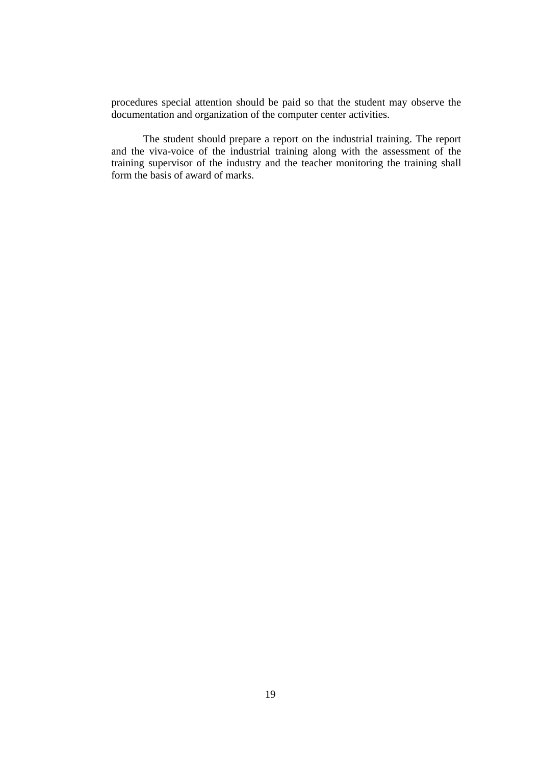procedures special attention should be paid so that the student may observe the documentation and organization of the computer center activities.

The student should prepare a report on the industrial training. The report and the viva-voice of the industrial training along with the assessment of the training supervisor of the industry and the teacher monitoring the training shall form the basis of award of marks.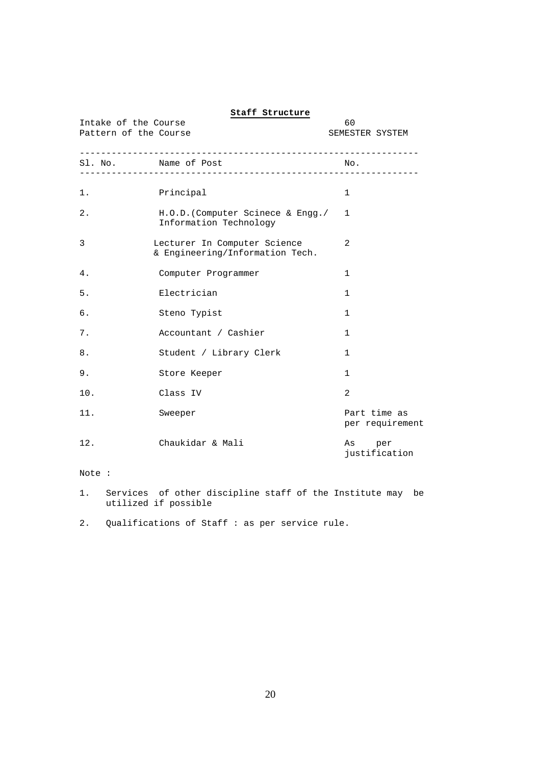| Intake of the Course<br>Pattern of the Course | 60<br>SEMESTER SYSTEM                                           |                                 |
|-----------------------------------------------|-----------------------------------------------------------------|---------------------------------|
|                                               | Sl. No. Name of Post                                            | No.                             |
| $1$ .                                         | Principal                                                       | 1                               |
| $2$ .                                         | H.O.D. (Computer Scinece & Engg./<br>Information Technology     | 1                               |
| 3                                             | Lecturer In Computer Science<br>& Engineering/Information Tech. | 2                               |
| 4.                                            | Computer Programmer                                             | 1                               |
| 5.                                            | Electrician                                                     | $\mathbf{1}$                    |
| б.                                            | Steno Typist                                                    | 1                               |
| 7.                                            | Accountant / Cashier                                            | 1                               |
| 8.                                            | Student / Library Clerk                                         | 1                               |
| 9.                                            | Store Keeper                                                    | 1                               |
| 10.                                           | Class IV                                                        | 2                               |
| 11.                                           | Sweeper                                                         | Part time as<br>per requirement |
| 12.                                           | Chaukidar & Mali                                                | As per<br>justification         |
| Note :                                        |                                                                 |                                 |

#### **Staff Structure**

1. Services of other discipline staff of the Institute may be utilized if possible

2. Qualifications of Staff : as per service rule.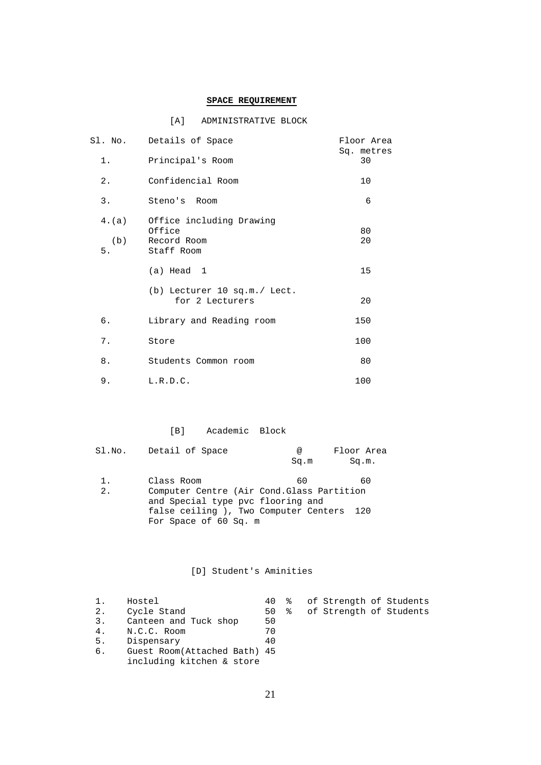#### **SPACE REQUIREMENT**

#### [A] ADMINISTRATIVE BLOCK

| 1.                 | Sl. No. Details of Space<br>Principal's Room                    | Floor Area<br>Sq. metres<br>30 |
|--------------------|-----------------------------------------------------------------|--------------------------------|
| $2$ .              | Confidencial Room                                               | 10                             |
| 3.                 | Steno's Room                                                    | 6                              |
| 4.(a)<br>(b)<br>5. | Office including Drawing<br>Office<br>Record Room<br>Staff Room | 80<br>20                       |
|                    | $(a)$ Head 1                                                    | 15                             |
|                    | (b) Lecturer 10 sq.m./ Lect.<br>for 2 Lecturers                 | 20                             |
| б.                 | Library and Reading room                                        | 150                            |
| 7.                 | Store                                                           | 100                            |
| 8.                 | Students Common room                                            | 80                             |
| 9.                 | L.R.D.C.                                                        | 100                            |

#### [B] Academic Block

|       | Sl.No. Detail of Space                     | @    | Floor Area |
|-------|--------------------------------------------|------|------------|
|       |                                            | Sq.m | Sq.m.      |
|       |                                            |      |            |
| $1$ . | Class Room                                 | 60   | 60         |
| 2.    | Computer Centre (Air Cond. Glass Partition |      |            |
|       | and Special type pvc flooring and          |      |            |
|       | false ceiling), Two Computer Centers 120   |      |            |
|       | For Space of 60 Sq. m                      |      |            |

#### [D] Student's Aminities

|    | Hostel                       |    |  | 40 % of Strength of Students |  |
|----|------------------------------|----|--|------------------------------|--|
| 2. | Cycle Stand                  |    |  | 50 % of Strength of Students |  |
| 3. | Canteen and Tuck shop        | 50 |  |                              |  |
| 4. | N.C.C. Room                  | 70 |  |                              |  |
| 5. | Dispensary                   | 40 |  |                              |  |
| 6. | Guest Room(Attached Bath) 45 |    |  |                              |  |
|    | including kitchen & store    |    |  |                              |  |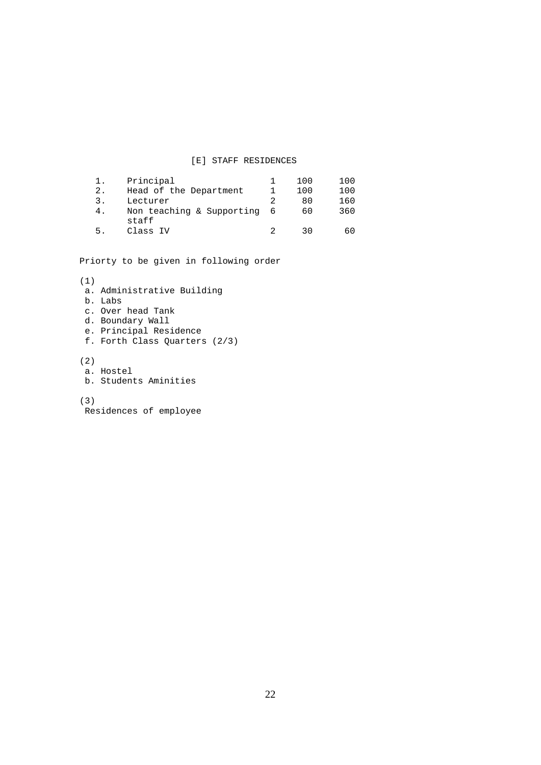#### [E] STAFF RESIDENCES

| ı. | Principal                            | 100 | 100 |
|----|--------------------------------------|-----|-----|
| 2. | Head of the Department               | 100 | 100 |
| 3. | Lecturer                             | 80  | 160 |
| 4. | Non teaching & Supporting 6<br>staff | 60  | 360 |
| 5. | Class IV                             | っい  | 60  |

Priorty to be given in following order

```
(1) 
 a. Administrative Building 
 b. Labs 
 c. Over head Tank 
 d. Boundary Wall 
 e. Principal Residence 
 f. Forth Class Quarters (2/3) 
(2) 
 a. Hostel 
 b. Students Aminities 
(3) 
 Residences of employee
```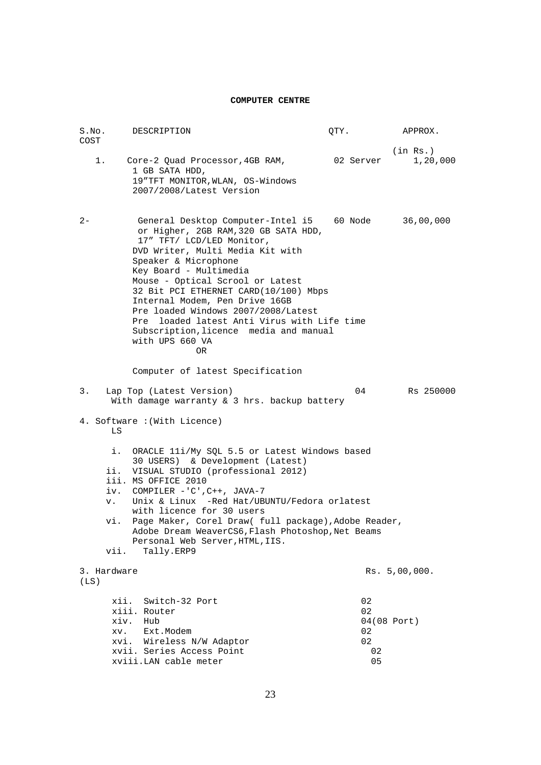#### **COMPUTER CENTRE**

| S.No.                                 | DESCRIPTION                                                                                                                                                                                                                                                                                                                                                                                                                                                                      | QTY.                             | APPROX.              |
|---------------------------------------|----------------------------------------------------------------------------------------------------------------------------------------------------------------------------------------------------------------------------------------------------------------------------------------------------------------------------------------------------------------------------------------------------------------------------------------------------------------------------------|----------------------------------|----------------------|
| COST<br>1.                            | Core-2 Quad Processor, 4GB RAM,                                                                                                                                                                                                                                                                                                                                                                                                                                                  | 02 Server                        | (in Rs.)<br>1,20,000 |
|                                       | 1 GB SATA HDD,<br>19"TFT MONITOR, WLAN, OS-Windows<br>2007/2008/Latest Version                                                                                                                                                                                                                                                                                                                                                                                                   |                                  |                      |
| $2 -$                                 | General Desktop Computer-Intel i5 60 Node<br>or Higher, 2GB RAM, 320 GB SATA HDD,<br>17" TFT/ LCD/LED Monitor,<br>DVD Writer, Multi Media Kit with<br>Speaker & Microphone<br>Key Board - Multimedia<br>Mouse - Optical Scrool or Latest<br>32 Bit PCI ETHERNET CARD(10/100) Mbps<br>Internal Modem, Pen Drive 16GB<br>Pre loaded Windows 2007/2008/Latest<br>loaded latest Anti Virus with Life time<br>Pre<br>Subscription, licence media and manual<br>with UPS 660 VA<br>OR. |                                  | 36,00,000            |
|                                       | Computer of latest Specification                                                                                                                                                                                                                                                                                                                                                                                                                                                 |                                  |                      |
| 3.                                    | Lap Top (Latest Version)<br>With damage warranty & 3 hrs. backup battery                                                                                                                                                                                                                                                                                                                                                                                                         | 04                               | Rs 250000            |
| LS                                    | 4. Software: (With Licence)                                                                                                                                                                                                                                                                                                                                                                                                                                                      |                                  |                      |
| i.<br>ii.<br>iv.<br>v.<br>vi.<br>vii. | ORACLE 11i/My SQL 5.5 or Latest Windows based<br>30 USERS) & Development (Latest)<br>VISUAL STUDIO (professional 2012)<br>iii. MS OFFICE 2010<br>COMPILER $-$ 'C', C++, JAVA-7<br>Unix & Linux -Red Hat/UBUNTU/Fedora orlatest<br>with licence for 30 users<br>Page Maker, Corel Draw( full package), Adobe Reader,<br>Adobe Dream WeaverCS6, Flash Photoshop, Net Beams<br>Personal Web Server, HTML, IIS.<br>Tally.ERP9                                                        |                                  |                      |
| 3. Hardware<br>(LS)                   |                                                                                                                                                                                                                                                                                                                                                                                                                                                                                  |                                  | Rs. 5,00,000.        |
|                                       | xii.<br>Switch-32 Port<br>xiii. Router<br>xiv.<br>Hub<br>Ext.Modem<br>XV.<br>xvi. Wireless N/W Adaptor<br>xvii. Series Access Point<br>xviii.LAN cable meter                                                                                                                                                                                                                                                                                                                     | 02<br>02<br>02<br>02<br>02<br>05 | 04(08 Port)          |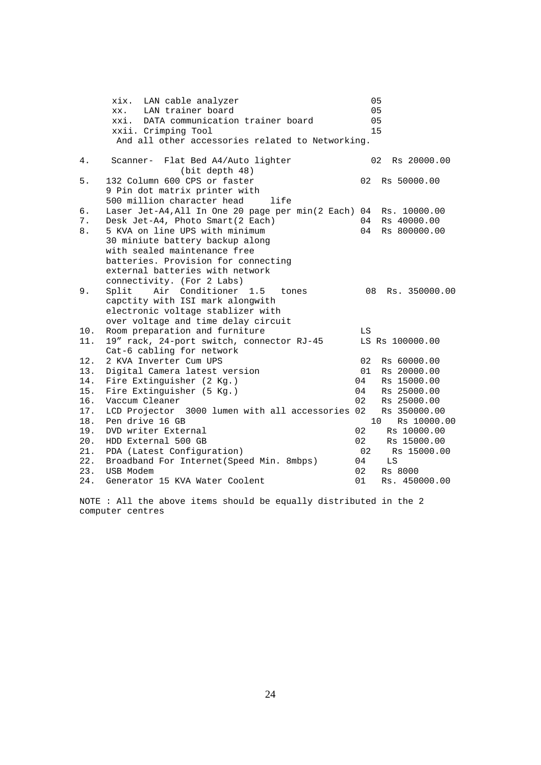|     | LAN cable analyzer<br>xix.                                       | 05 |                                |
|-----|------------------------------------------------------------------|----|--------------------------------|
|     | LAN trainer board<br>XX.                                         | 05 |                                |
|     | xxi. DATA communication trainer board                            | 05 |                                |
|     | xxii. Crimping Tool                                              | 15 |                                |
|     | And all other accessories related to Networking.                 |    |                                |
| 4.  | Scanner- Flat Bed A4/Auto lighter                                |    | 02 <sub>o</sub><br>Rs 20000.00 |
|     | (bit depth 48)                                                   |    |                                |
| 5.  | 132 Column 600 CPS or faster                                     | 02 | Rs 50000.00                    |
|     | 9 Pin dot matrix printer with                                    |    |                                |
|     | 500 million character head<br>life                               |    |                                |
| б.  | Laser Jet-A4, All In One 20 page per min(2 Each) 04 Rs. 10000.00 |    |                                |
| 7.  | Desk Jet-A4, Photo Smart(2 Each)                                 |    | 04 Rs 40000.00                 |
| 8.  | 5 KVA on line UPS with minimum                                   | 04 | Rs 800000.00                   |
|     | 30 miniute battery backup along                                  |    |                                |
|     | with sealed maintenance free                                     |    |                                |
|     | batteries. Provision for connecting                              |    |                                |
|     | external batteries with network                                  |    |                                |
|     | connectivity. (For 2 Labs)                                       |    |                                |
| 9.  | Air Conditioner<br>Split<br>1.5<br>tones                         | 08 | Rs. 350000.00                  |
|     | capctity with ISI mark alongwith                                 |    |                                |
|     | electronic voltage stablizer with                                |    |                                |
|     | over voltage and time delay circuit                              |    |                                |
| 10. | Room preparation and furniture                                   | LS |                                |
| 11. | 19" rack, 24-port switch, connector RJ-45                        |    | LS Rs 100000.00                |
|     | Cat-6 cabling for network                                        |    |                                |
| 12. | 2 KVA Inverter Cum UPS                                           | 02 | Rs 60000.00                    |
| 13. | Digital Camera latest version                                    | 01 | Rs 20000.00                    |
| 14. | Fire Extinguisher (2 Kg.)                                        | 04 | Rs 15000.00                    |
| 15. | Fire Extinguisher (5 Kg.)                                        | 04 | Rs 25000.00                    |
| 16. | Vaccum Cleaner                                                   | 02 | Rs 25000.00                    |
| 17. | LCD Projector 3000 lumen with all accessories 02                 |    | Rs 350000.00                   |
| 18. | Pen drive 16 GB                                                  |    | 10<br>Rs 10000.00              |
| 19. | DVD writer External                                              | 02 | Rs 10000.00                    |
| 20. | HDD External 500 GB                                              | 02 | Rs 15000.00                    |
| 21. | PDA (Latest Configuration)                                       | 02 | Rs 15000.00                    |
| 22. | Broadband For Internet (Speed Min. 8mbps)                        | 04 | LS                             |
| 23. | USB Modem                                                        | 02 | Rs 8000                        |
| 24. | Generator 15 KVA Water Coolent                                   | 01 | Rs. 450000.00                  |

NOTE : All the above items should be equally distributed in the 2 computer centres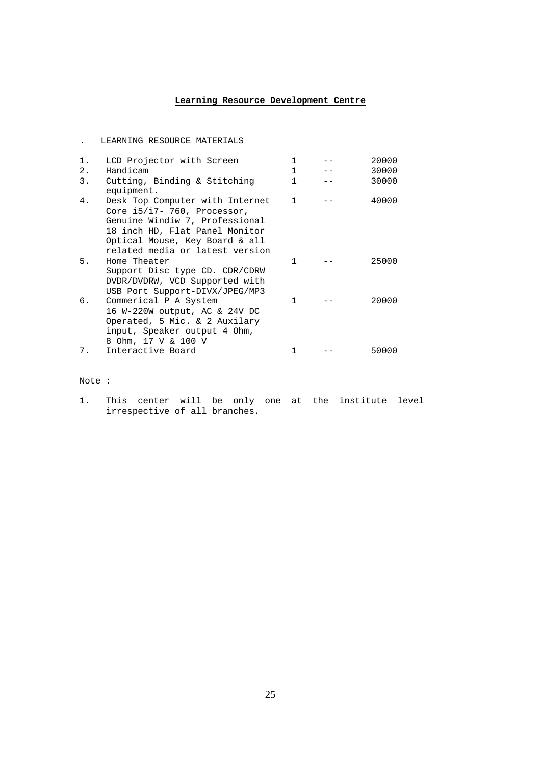#### **Learning Resource Development Centre**

|                | LEARNING RESOURCE MATERIALS                                                                                                                                                                             |                              |                |
|----------------|---------------------------------------------------------------------------------------------------------------------------------------------------------------------------------------------------------|------------------------------|----------------|
| $1$ .<br>$2$ . | LCD Projector with Screen<br>Handicam                                                                                                                                                                   | $\mathbf{1}$<br>$\mathbf{1}$ | 20000<br>30000 |
| $3$ .          | Cutting, Binding & Stitching<br>equipment.                                                                                                                                                              | $\mathbf{1}$                 | 30000          |
| 4.             | Desk Top Computer with Internet<br>Core i5/i7- 760, Processor,<br>Genuine Windiw 7, Professional<br>18 inch HD, Flat Panel Monitor<br>Optical Mouse, Key Board & all<br>related media or latest version | $\mathbf{1}$                 | 40000          |
| 5.             | Home Theater<br>Support Disc type CD. CDR/CDRW<br>DVDR/DVDRW, VCD Supported with<br>USB Port Support-DIVX/JPEG/MP3                                                                                      | 1                            | 25000          |
| б.             | Commerical P A System<br>16 W-220W output, AC & 24V DC<br>Operated, 5 Mic. & 2 Auxilary<br>input, Speaker output 4 Ohm,<br>8 Ohm, 17 V & 100 V                                                          | $\mathbf{1}$                 | 20000          |
| 7.             | Interactive Board                                                                                                                                                                                       | 1                            | 50000          |

Note :

1. This center will be only one at the institute level irrespective of all branches.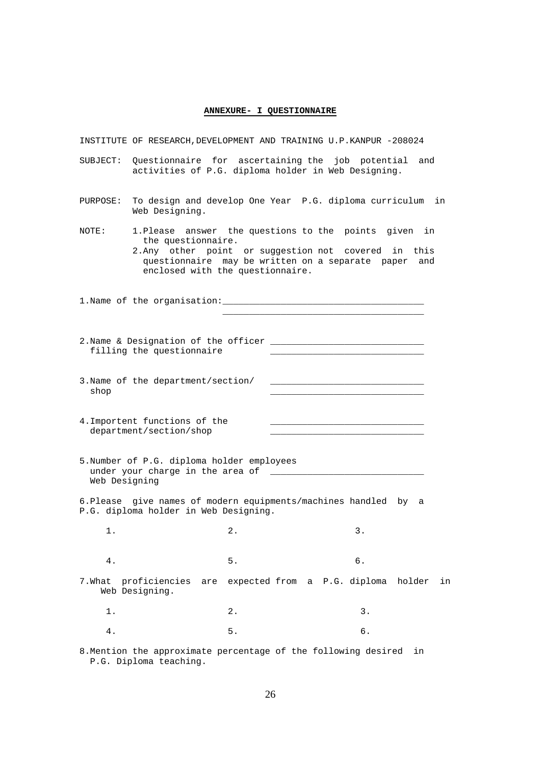#### **ANNEXURE- I QUESTIONNAIRE**

|               | INSTITUTE OF RESEARCH, DEVELOPMENT AND TRAINING U.P. KANPUR -208024                                                                                                                                                                |    |                                     |  |    |    |    |
|---------------|------------------------------------------------------------------------------------------------------------------------------------------------------------------------------------------------------------------------------------|----|-------------------------------------|--|----|----|----|
| SUBJECT:      | Questionnaire for ascertaining the job potential and<br>activities of P.G. diploma holder in Web Designing.                                                                                                                        |    |                                     |  |    |    |    |
| PURPOSE:      | To design and develop One Year P.G. diploma curriculum in<br>Web Designing.                                                                                                                                                        |    |                                     |  |    |    |    |
| NOTE:         | 1. Please answer the questions to the points given in<br>the questionnaire.<br>2. Any other point or suggestion not covered in this<br>questionnaire may be written on a separate paper<br>and<br>enclosed with the questionnaire. |    |                                     |  |    |    |    |
|               |                                                                                                                                                                                                                                    |    |                                     |  |    |    |    |
|               |                                                                                                                                                                                                                                    |    |                                     |  |    |    |    |
|               | filling the questionnaire                                                                                                                                                                                                          |    |                                     |  |    |    |    |
| shop          | 3. Name of the department/section/                                                                                                                                                                                                 |    |                                     |  |    |    |    |
|               | 4. Importent functions of the<br>department/section/shop                                                                                                                                                                           |    |                                     |  |    |    |    |
| Web Designing | 5. Number of P.G. diploma holder employees                                                                                                                                                                                         |    |                                     |  |    |    |    |
|               | 6. Please give names of modern equipments/machines handled by a<br>P.G. diploma holder in Web Designing.                                                                                                                           |    |                                     |  |    |    |    |
| 1.            |                                                                                                                                                                                                                                    | 2. |                                     |  | 3. |    |    |
| 4.            |                                                                                                                                                                                                                                    | 5. |                                     |  | б. |    |    |
| 7.What        | proficiencies<br>are<br>Web Designing.                                                                                                                                                                                             |    | expected from a P.G. diploma holder |  |    |    | in |
| $1$ .         |                                                                                                                                                                                                                                    | 2. |                                     |  | 3. |    |    |
| 4.            |                                                                                                                                                                                                                                    | 5. |                                     |  | б. |    |    |
|               | 8. Mention the approximate percentage of the following desired<br>P.G. Diploma teaching.                                                                                                                                           |    |                                     |  |    | in |    |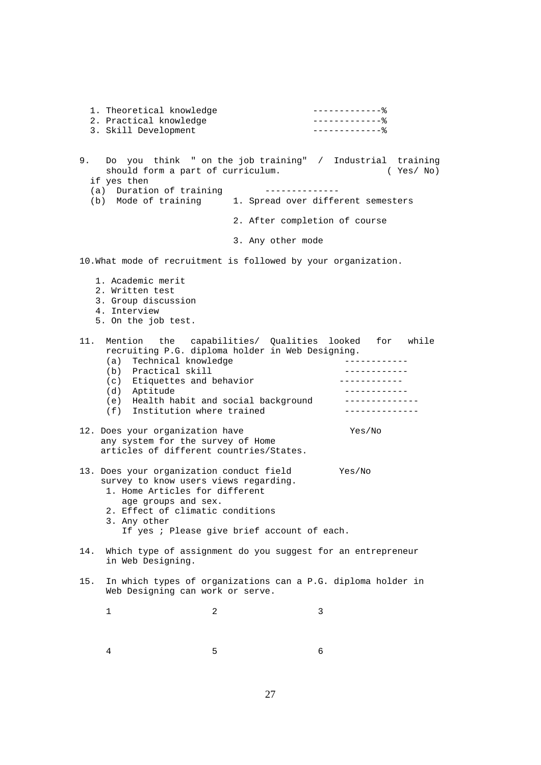1. Theoretical knowledge  $------$  2. Practical knowledge -------------% 3. Skill Development --------------- % 9. Do you think " on the job training" / Industrial training should form a part of curriculum. (Yes/ No) if yes then (a) Duration of training -------------- (b) Mode of training 1. Spread over different semesters 2. After completion of course 3. Any other mode 10.What mode of recruitment is followed by your organization. 1. Academic merit 2. Written test 3. Group discussion 4. Interview 5. On the job test. 11. Mention the capabilities/ Qualities looked for while recruiting P.G. diploma holder in Web Designing. (a) Technical knowledge -------------(b) Practical skill  $\begin{array}{ccc} \n(a) & \text{Friquatters and behavior} \\
\end{array}$ (c) Etiquettes and behavior (d) Aptitude ------------ (e) Health habit and social background --------------<br>(f) Institution where trained ---------------(f) Institution where trained 12. Does your organization have Yes/No any system for the survey of Home articles of different countries/States. 13. Does your organization conduct field Yes/No survey to know users views regarding. 1. Home Articles for different age groups and sex. 2. Effect of climatic conditions 3. Any other If yes ; Please give brief account of each. 14. Which type of assignment do you suggest for an entrepreneur in Web Designing. 15. In which types of organizations can a P.G. diploma holder in Web Designing can work or serve. 1 2 3 4 5 6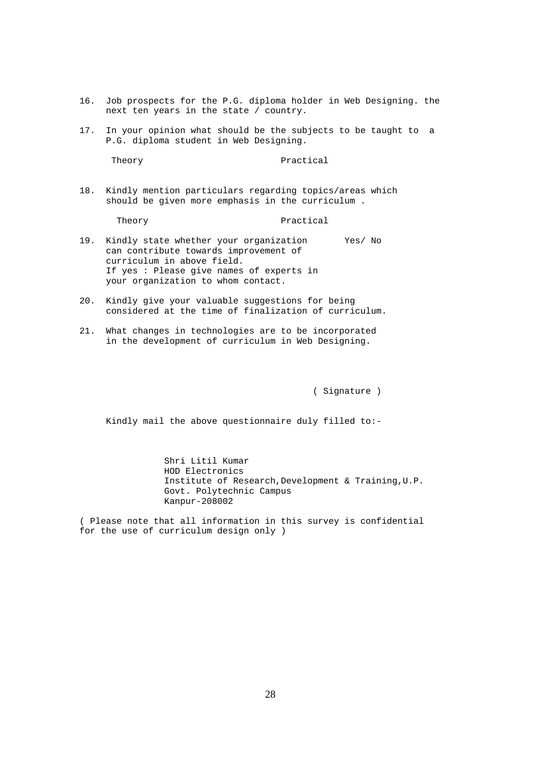- 16. Job prospects for the P.G. diploma holder in Web Designing. the next ten years in the state / country.
- 17. In your opinion what should be the subjects to be taught to a P.G. diploma student in Web Designing.

Theory Practical

18. Kindly mention particulars regarding topics/areas which should be given more emphasis in the curriculum .

Theory **Practical** 

- 19. Kindly state whether your organization Yes/ No can contribute towards improvement of curriculum in above field. If yes : Please give names of experts in your organization to whom contact.
- 20. Kindly give your valuable suggestions for being considered at the time of finalization of curriculum.
- 21. What changes in technologies are to be incorporated in the development of curriculum in Web Designing.

( Signature )

Kindly mail the above questionnaire duly filled to:-

 Shri Litil Kumar HOD Electronics Institute of Research,Development & Training,U.P. Govt. Polytechnic Campus Kanpur-208002

( Please note that all information in this survey is confidential for the use of curriculum design only )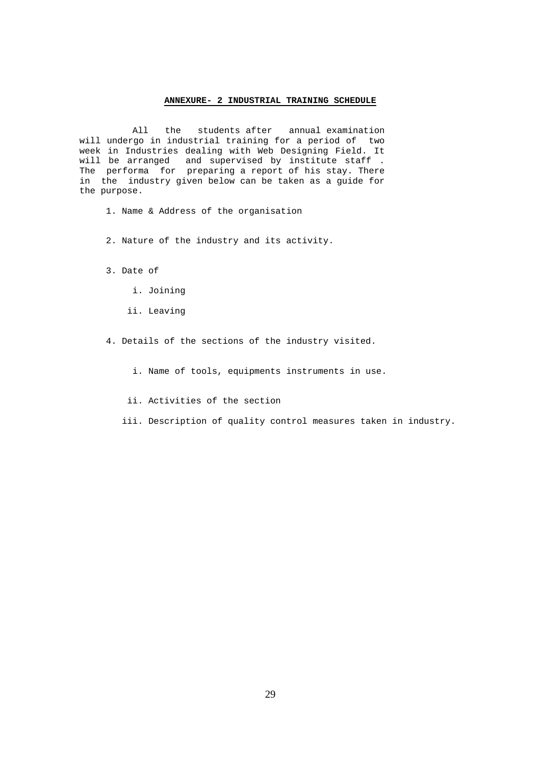#### **ANNEXURE- 2 INDUSTRIAL TRAINING SCHEDULE**

 All the students after annual examination will undergo in industrial training for a period of two week in Industries dealing with Web Designing Field. It will be arranged and supervised by institute staff. Will be allanged and bupervised by instructed boxes. in the industry given below can be taken as a guide for the purpose.

- 1. Name & Address of the organisation
- 2. Nature of the industry and its activity.
- 3. Date of
	- i. Joining
	- ii. Leaving
- 4. Details of the sections of the industry visited.
	- i. Name of tools, equipments instruments in use.
	- ii. Activities of the section
	- iii. Description of quality control measures taken in industry.